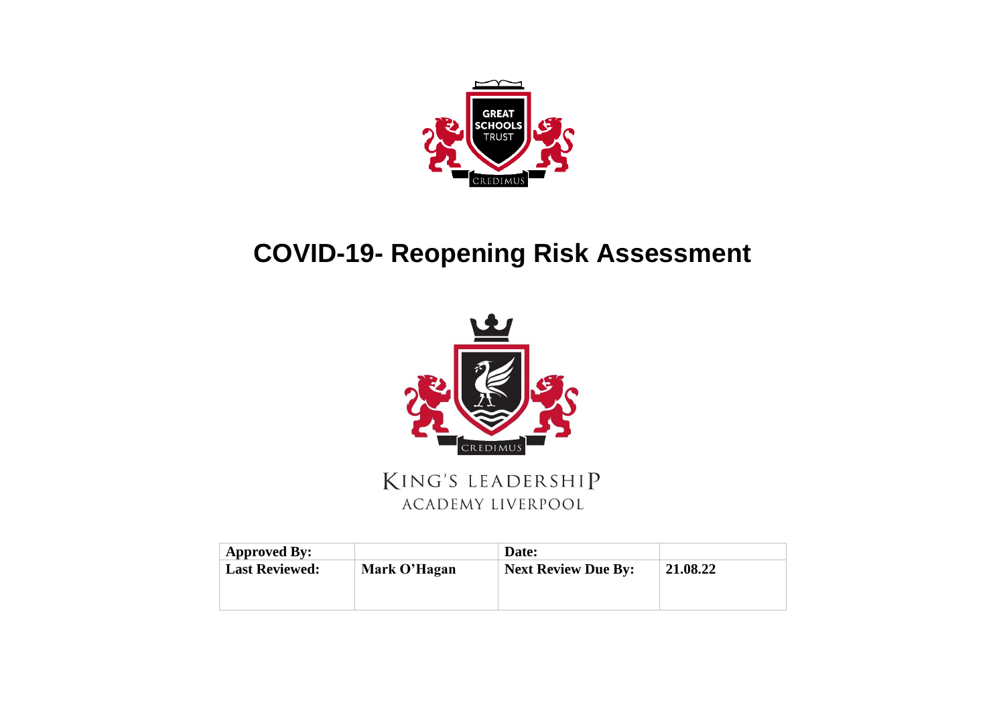

## **COVID-19- Reopening Risk Assessment**



KING'S LEADERSHIP ACADEMY LIVERPOOL

| <b>Approved By:</b>   |              | Date:                      |          |
|-----------------------|--------------|----------------------------|----------|
| <b>Last Reviewed:</b> | Mark O'Hagan | <b>Next Review Due By:</b> | 21.08.22 |
|                       |              |                            |          |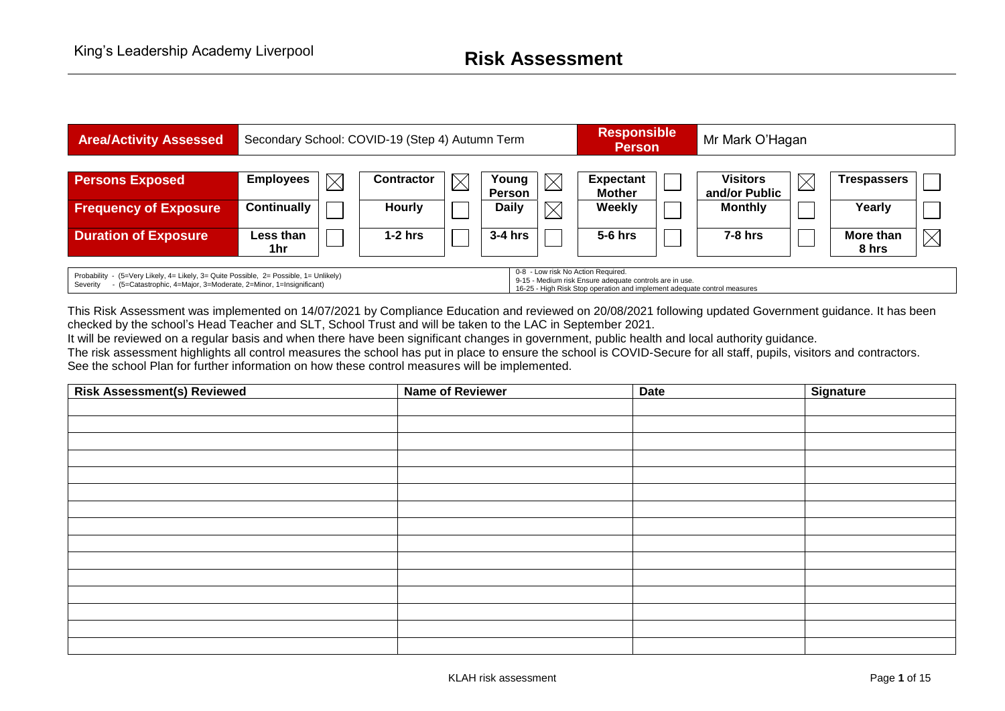

This Risk Assessment was implemented on 14/07/2021 by Compliance Education and reviewed on 20/08/2021 following updated Government guidance. It has been checked by the school's Head Teacher and SLT, School Trust and will be taken to the LAC in September 2021.

It will be reviewed on a regular basis and when there have been significant changes in government, public health and local authority guidance. The risk assessment highlights all control measures the school has put in place to ensure the school is COVID-Secure for all staff, pupils, visitors and contractors. See the school Plan for further information on how these control measures will be implemented.

| <b>Risk Assessment(s) Reviewed</b> | <b>Name of Reviewer</b> | <b>Date</b> | Signature |
|------------------------------------|-------------------------|-------------|-----------|
|                                    |                         |             |           |
|                                    |                         |             |           |
|                                    |                         |             |           |
|                                    |                         |             |           |
|                                    |                         |             |           |
|                                    |                         |             |           |
|                                    |                         |             |           |
|                                    |                         |             |           |
|                                    |                         |             |           |
|                                    |                         |             |           |
|                                    |                         |             |           |
|                                    |                         |             |           |
|                                    |                         |             |           |
|                                    |                         |             |           |
|                                    |                         |             |           |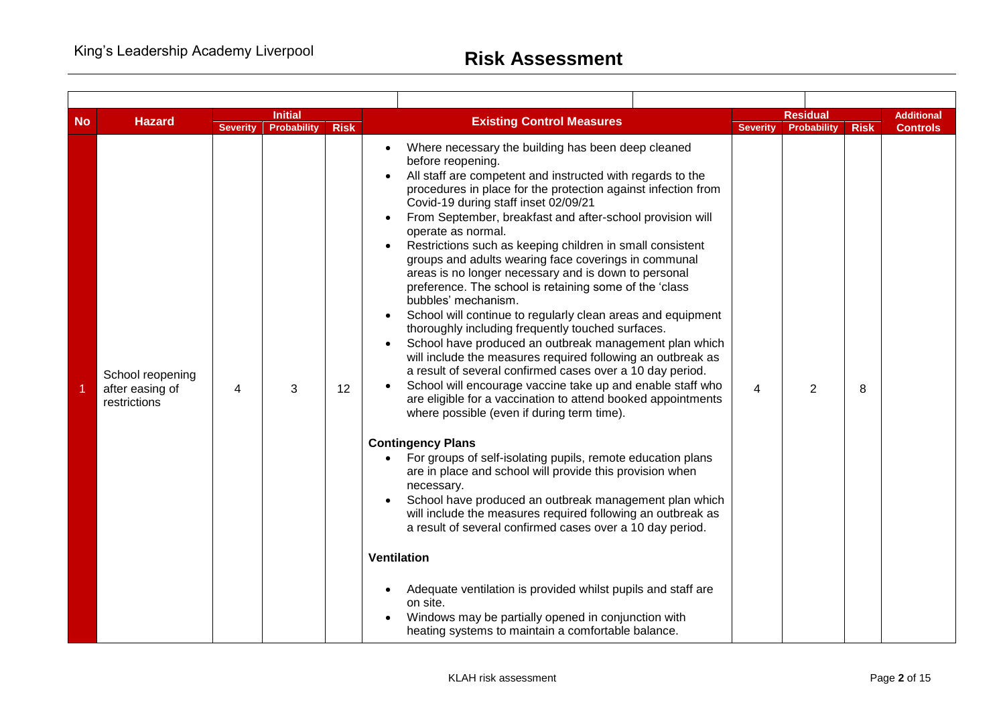| <b>No</b> | <b>Hazard</b>                                       |                 | <b>Initial</b>     |             | <b>Existing Control Measures</b>                                                                                                                                                                                                                                                                                                                                                                                                                                                                                                                                                                                                                                                                                                                                                                                                                                                                                                                                                                                                                                                                                                                                                                                                                                                                                                                                                                                                                                                                                                                                                                                                                                  |                 | <b>Residual</b> |             | Additional      |
|-----------|-----------------------------------------------------|-----------------|--------------------|-------------|-------------------------------------------------------------------------------------------------------------------------------------------------------------------------------------------------------------------------------------------------------------------------------------------------------------------------------------------------------------------------------------------------------------------------------------------------------------------------------------------------------------------------------------------------------------------------------------------------------------------------------------------------------------------------------------------------------------------------------------------------------------------------------------------------------------------------------------------------------------------------------------------------------------------------------------------------------------------------------------------------------------------------------------------------------------------------------------------------------------------------------------------------------------------------------------------------------------------------------------------------------------------------------------------------------------------------------------------------------------------------------------------------------------------------------------------------------------------------------------------------------------------------------------------------------------------------------------------------------------------------------------------------------------------|-----------------|-----------------|-------------|-----------------|
|           |                                                     | <b>Severity</b> | <b>Probability</b> | <b>Risk</b> |                                                                                                                                                                                                                                                                                                                                                                                                                                                                                                                                                                                                                                                                                                                                                                                                                                                                                                                                                                                                                                                                                                                                                                                                                                                                                                                                                                                                                                                                                                                                                                                                                                                                   | <b>Severity</b> | Probability     | <b>Risk</b> | <b>Controls</b> |
|           | School reopening<br>after easing of<br>restrictions | 4               | 3                  | 12          | Where necessary the building has been deep cleaned<br>before reopening.<br>All staff are competent and instructed with regards to the<br>procedures in place for the protection against infection from<br>Covid-19 during staff inset 02/09/21<br>From September, breakfast and after-school provision will<br>operate as normal.<br>Restrictions such as keeping children in small consistent<br>groups and adults wearing face coverings in communal<br>areas is no longer necessary and is down to personal<br>preference. The school is retaining some of the 'class<br>bubbles' mechanism.<br>School will continue to regularly clean areas and equipment<br>thoroughly including frequently touched surfaces.<br>School have produced an outbreak management plan which<br>will include the measures required following an outbreak as<br>a result of several confirmed cases over a 10 day period.<br>School will encourage vaccine take up and enable staff who<br>are eligible for a vaccination to attend booked appointments<br>where possible (even if during term time).<br><b>Contingency Plans</b><br>• For groups of self-isolating pupils, remote education plans<br>are in place and school will provide this provision when<br>necessary.<br>School have produced an outbreak management plan which<br>will include the measures required following an outbreak as<br>a result of several confirmed cases over a 10 day period.<br><b>Ventilation</b><br>Adequate ventilation is provided whilst pupils and staff are<br>on site.<br>Windows may be partially opened in conjunction with<br>heating systems to maintain a comfortable balance. | 4               | 2               | 8           |                 |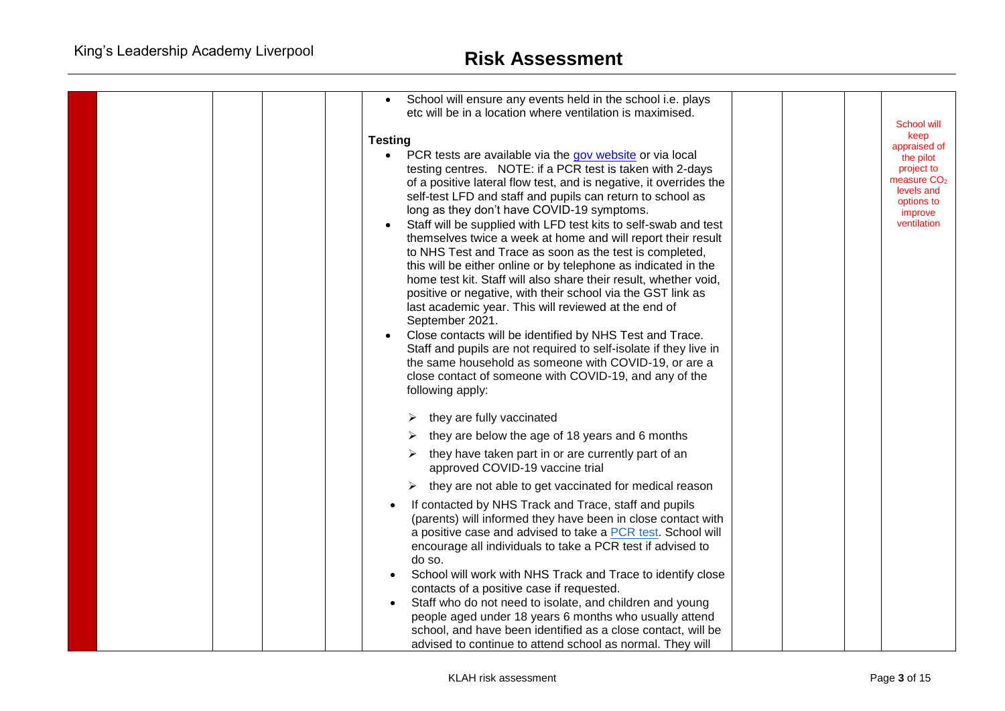| School will ensure any events held in the school i.e. plays<br>$\bullet$                                                           |  |                          |
|------------------------------------------------------------------------------------------------------------------------------------|--|--------------------------|
| etc will be in a location where ventilation is maximised.                                                                          |  |                          |
|                                                                                                                                    |  | School will<br>keep      |
| <b>Testing</b>                                                                                                                     |  | appraised of             |
| PCR tests are available via the gov website or via local<br>$\bullet$<br>testing centres. NOTE: if a PCR test is taken with 2-days |  | the pilot<br>project to  |
| of a positive lateral flow test, and is negative, it overrides the                                                                 |  | measure $CO2$            |
| self-test LFD and staff and pupils can return to school as                                                                         |  | levels and<br>options to |
| long as they don't have COVID-19 symptoms.                                                                                         |  | improve                  |
| Staff will be supplied with LFD test kits to self-swab and test                                                                    |  | ventilation              |
| themselves twice a week at home and will report their result                                                                       |  |                          |
| to NHS Test and Trace as soon as the test is completed,<br>this will be either online or by telephone as indicated in the          |  |                          |
| home test kit. Staff will also share their result, whether void,                                                                   |  |                          |
| positive or negative, with their school via the GST link as                                                                        |  |                          |
| last academic year. This will reviewed at the end of                                                                               |  |                          |
| September 2021.                                                                                                                    |  |                          |
| Close contacts will be identified by NHS Test and Trace.                                                                           |  |                          |
| Staff and pupils are not required to self-isolate if they live in<br>the same household as someone with COVID-19, or are a         |  |                          |
| close contact of someone with COVID-19, and any of the                                                                             |  |                          |
| following apply:                                                                                                                   |  |                          |
|                                                                                                                                    |  |                          |
| they are fully vaccinated                                                                                                          |  |                          |
| they are below the age of 18 years and 6 months                                                                                    |  |                          |
| they have taken part in or are currently part of an<br>approved COVID-19 vaccine trial                                             |  |                          |
| they are not able to get vaccinated for medical reason                                                                             |  |                          |
| If contacted by NHS Track and Trace, staff and pupils                                                                              |  |                          |
| (parents) will informed they have been in close contact with                                                                       |  |                          |
| a positive case and advised to take a PCR test. School will<br>encourage all individuals to take a PCR test if advised to          |  |                          |
| do so.                                                                                                                             |  |                          |
| School will work with NHS Track and Trace to identify close                                                                        |  |                          |
| contacts of a positive case if requested.                                                                                          |  |                          |
| Staff who do not need to isolate, and children and young                                                                           |  |                          |
| people aged under 18 years 6 months who usually attend                                                                             |  |                          |
| school, and have been identified as a close contact, will be<br>advised to continue to attend school as normal. They will          |  |                          |
|                                                                                                                                    |  |                          |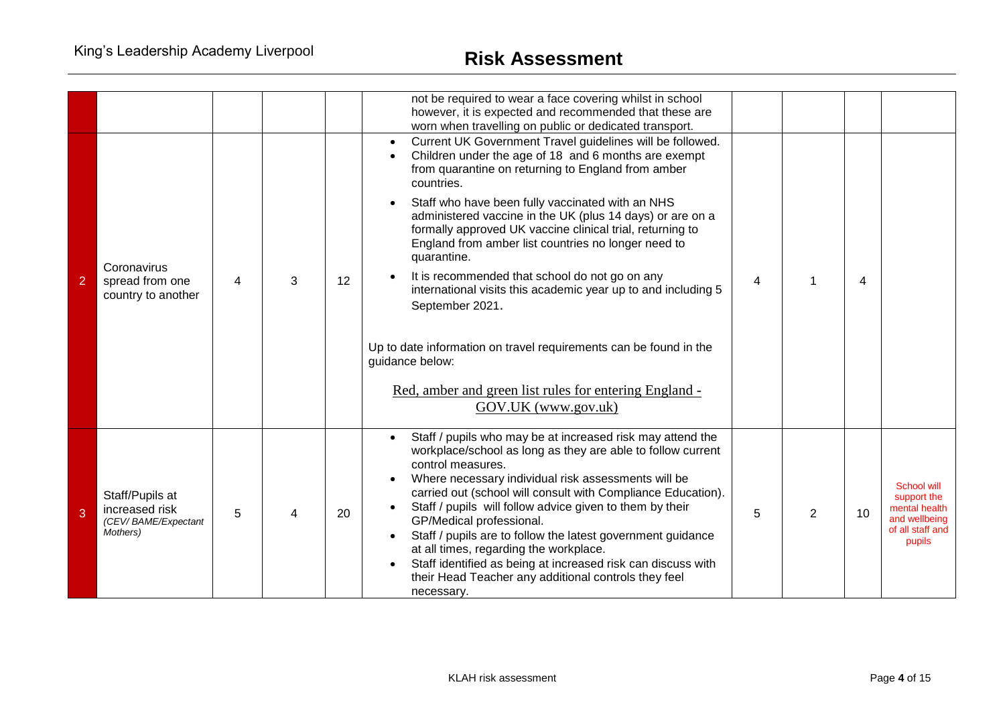|                |                                                                      |   |   |    | not be required to wear a face covering whilst in school<br>however, it is expected and recommended that these are<br>worn when travelling on public or dedicated transport.                                                                                                                                                                                                                                                                                                                                                                                                                                                                                                                                                                             |   |   |    |                                                                                                   |
|----------------|----------------------------------------------------------------------|---|---|----|----------------------------------------------------------------------------------------------------------------------------------------------------------------------------------------------------------------------------------------------------------------------------------------------------------------------------------------------------------------------------------------------------------------------------------------------------------------------------------------------------------------------------------------------------------------------------------------------------------------------------------------------------------------------------------------------------------------------------------------------------------|---|---|----|---------------------------------------------------------------------------------------------------|
| $\overline{2}$ | Coronavirus<br>spread from one<br>country to another                 | 4 | 3 | 12 | Current UK Government Travel guidelines will be followed.<br>Children under the age of 18 and 6 months are exempt<br>from quarantine on returning to England from amber<br>countries.<br>Staff who have been fully vaccinated with an NHS<br>administered vaccine in the UK (plus 14 days) or are on a<br>formally approved UK vaccine clinical trial, returning to<br>England from amber list countries no longer need to<br>quarantine.<br>It is recommended that school do not go on any<br>international visits this academic year up to and including 5<br>September 2021.<br>Up to date information on travel requirements can be found in the<br>guidance below:<br>Red, amber and green list rules for entering England -<br>GOV.UK (www.gov.uk) | 4 |   | 4  |                                                                                                   |
| 3              | Staff/Pupils at<br>increased risk<br>(CEV/BAME/Expectant<br>Mothers) | 5 |   | 20 | Staff / pupils who may be at increased risk may attend the<br>workplace/school as long as they are able to follow current<br>control measures.<br>Where necessary individual risk assessments will be<br>carried out (school will consult with Compliance Education).<br>Staff / pupils will follow advice given to them by their<br>GP/Medical professional.<br>Staff / pupils are to follow the latest government guidance<br>at all times, regarding the workplace.<br>Staff identified as being at increased risk can discuss with<br>their Head Teacher any additional controls they feel<br>necessary.                                                                                                                                             | 5 | 2 | 10 | <b>School will</b><br>support the<br>mental health<br>and wellbeing<br>of all staff and<br>pupils |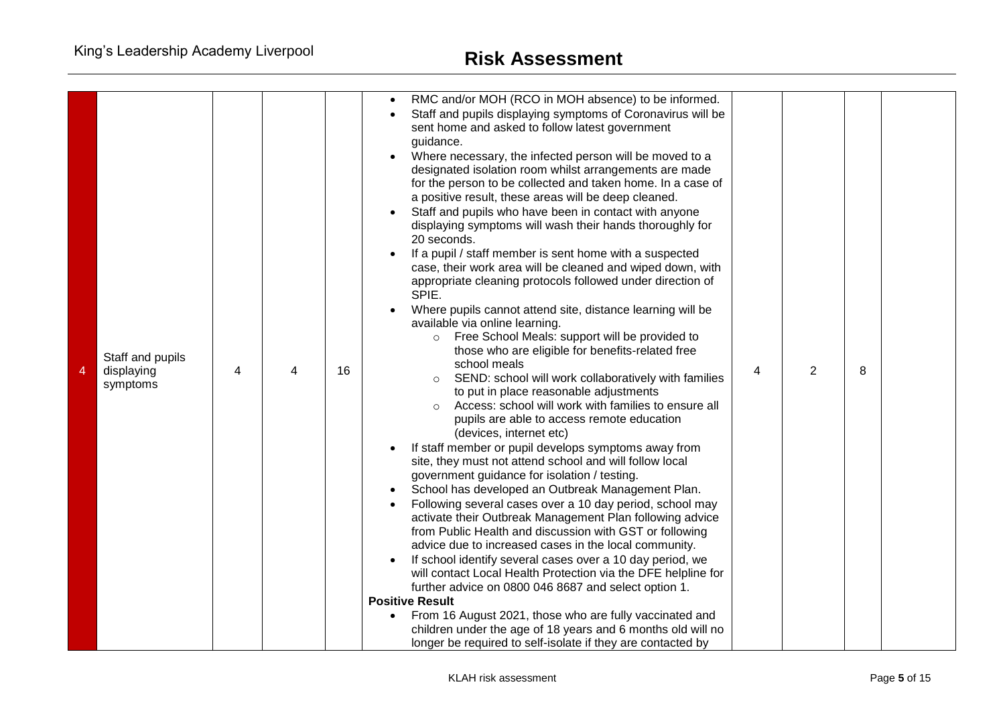| 4 | Staff and pupils<br>displaying<br>symptoms | 4 | 4 | 16 | RMC and/or MOH (RCO in MOH absence) to be informed.<br>Staff and pupils displaying symptoms of Coronavirus will be<br>sent home and asked to follow latest government<br>guidance.<br>Where necessary, the infected person will be moved to a<br>designated isolation room whilst arrangements are made<br>for the person to be collected and taken home. In a case of<br>a positive result, these areas will be deep cleaned.<br>Staff and pupils who have been in contact with anyone<br>displaying symptoms will wash their hands thoroughly for<br>20 seconds.<br>If a pupil / staff member is sent home with a suspected<br>case, their work area will be cleaned and wiped down, with<br>appropriate cleaning protocols followed under direction of<br>SPIE.<br>Where pupils cannot attend site, distance learning will be<br>available via online learning.<br>Free School Meals: support will be provided to<br>$\circ$<br>those who are eligible for benefits-related free<br>school meals<br>SEND: school will work collaboratively with families<br>$\circ$<br>to put in place reasonable adjustments<br>Access: school will work with families to ensure all<br>pupils are able to access remote education<br>(devices, internet etc)<br>If staff member or pupil develops symptoms away from<br>site, they must not attend school and will follow local<br>government guidance for isolation / testing.<br>School has developed an Outbreak Management Plan.<br>Following several cases over a 10 day period, school may<br>activate their Outbreak Management Plan following advice<br>from Public Health and discussion with GST or following<br>advice due to increased cases in the local community.<br>If school identify several cases over a 10 day period, we<br>will contact Local Health Protection via the DFE helpline for<br>further advice on 0800 046 8687 and select option 1.<br><b>Positive Result</b><br>From 16 August 2021, those who are fully vaccinated and<br>children under the age of 18 years and 6 months old will no<br>longer be required to self-isolate if they are contacted by | 4 | 2 | 8 |  |
|---|--------------------------------------------|---|---|----|--------------------------------------------------------------------------------------------------------------------------------------------------------------------------------------------------------------------------------------------------------------------------------------------------------------------------------------------------------------------------------------------------------------------------------------------------------------------------------------------------------------------------------------------------------------------------------------------------------------------------------------------------------------------------------------------------------------------------------------------------------------------------------------------------------------------------------------------------------------------------------------------------------------------------------------------------------------------------------------------------------------------------------------------------------------------------------------------------------------------------------------------------------------------------------------------------------------------------------------------------------------------------------------------------------------------------------------------------------------------------------------------------------------------------------------------------------------------------------------------------------------------------------------------------------------------------------------------------------------------------------------------------------------------------------------------------------------------------------------------------------------------------------------------------------------------------------------------------------------------------------------------------------------------------------------------------------------------------------------------------------------------------------------------------------------------------------------------------------------------------------|---|---|---|--|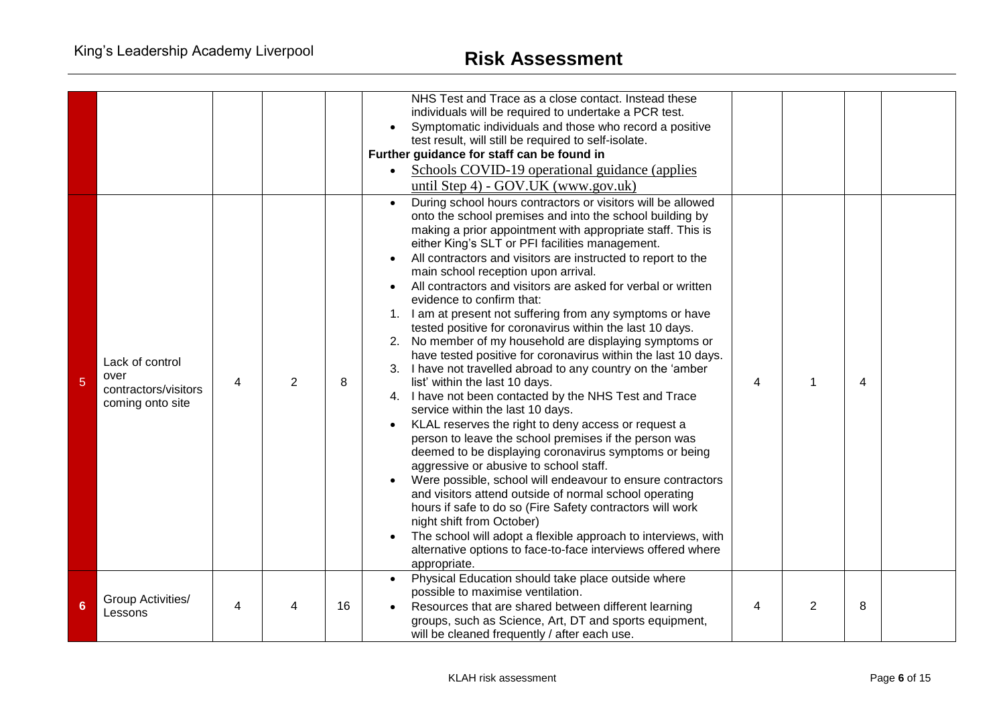|   |                                                                     |   |   |    | NHS Test and Trace as a close contact. Instead these<br>individuals will be required to undertake a PCR test.<br>Symptomatic individuals and those who record a positive<br>test result, will still be required to self-isolate.<br>Further guidance for staff can be found in<br>Schools COVID-19 operational guidance (applies<br>until Step 4) - GOV.UK (www.gov.uk)<br>During school hours contractors or visitors will be allowed<br>$\bullet$<br>onto the school premises and into the school building by<br>making a prior appointment with appropriate staff. This is                                                                                                                                                                                                                                                                                                                                                                                                                                                                                                                                                                                                                                                                                                                        |   |                |   |  |
|---|---------------------------------------------------------------------|---|---|----|------------------------------------------------------------------------------------------------------------------------------------------------------------------------------------------------------------------------------------------------------------------------------------------------------------------------------------------------------------------------------------------------------------------------------------------------------------------------------------------------------------------------------------------------------------------------------------------------------------------------------------------------------------------------------------------------------------------------------------------------------------------------------------------------------------------------------------------------------------------------------------------------------------------------------------------------------------------------------------------------------------------------------------------------------------------------------------------------------------------------------------------------------------------------------------------------------------------------------------------------------------------------------------------------------|---|----------------|---|--|
| 5 | Lack of control<br>over<br>contractors/visitors<br>coming onto site | 4 | 2 | 8  | either King's SLT or PFI facilities management.<br>All contractors and visitors are instructed to report to the<br>main school reception upon arrival.<br>All contractors and visitors are asked for verbal or written<br>evidence to confirm that:<br>I am at present not suffering from any symptoms or have<br>1.<br>tested positive for coronavirus within the last 10 days.<br>No member of my household are displaying symptoms or<br>2.<br>have tested positive for coronavirus within the last 10 days.<br>3. I have not travelled abroad to any country on the 'amber<br>list' within the last 10 days.<br>4. I have not been contacted by the NHS Test and Trace<br>service within the last 10 days.<br>KLAL reserves the right to deny access or request a<br>person to leave the school premises if the person was<br>deemed to be displaying coronavirus symptoms or being<br>aggressive or abusive to school staff.<br>Were possible, school will endeavour to ensure contractors<br>and visitors attend outside of normal school operating<br>hours if safe to do so (Fire Safety contractors will work<br>night shift from October)<br>The school will adopt a flexible approach to interviews, with<br>alternative options to face-to-face interviews offered where<br>appropriate. | 4 | 1              | 4 |  |
| 6 | Group Activities/<br>Lessons                                        | 4 | 4 | 16 | Physical Education should take place outside where<br>possible to maximise ventilation.<br>Resources that are shared between different learning<br>groups, such as Science, Art, DT and sports equipment,<br>will be cleaned frequently / after each use.                                                                                                                                                                                                                                                                                                                                                                                                                                                                                                                                                                                                                                                                                                                                                                                                                                                                                                                                                                                                                                            | 4 | $\overline{2}$ | 8 |  |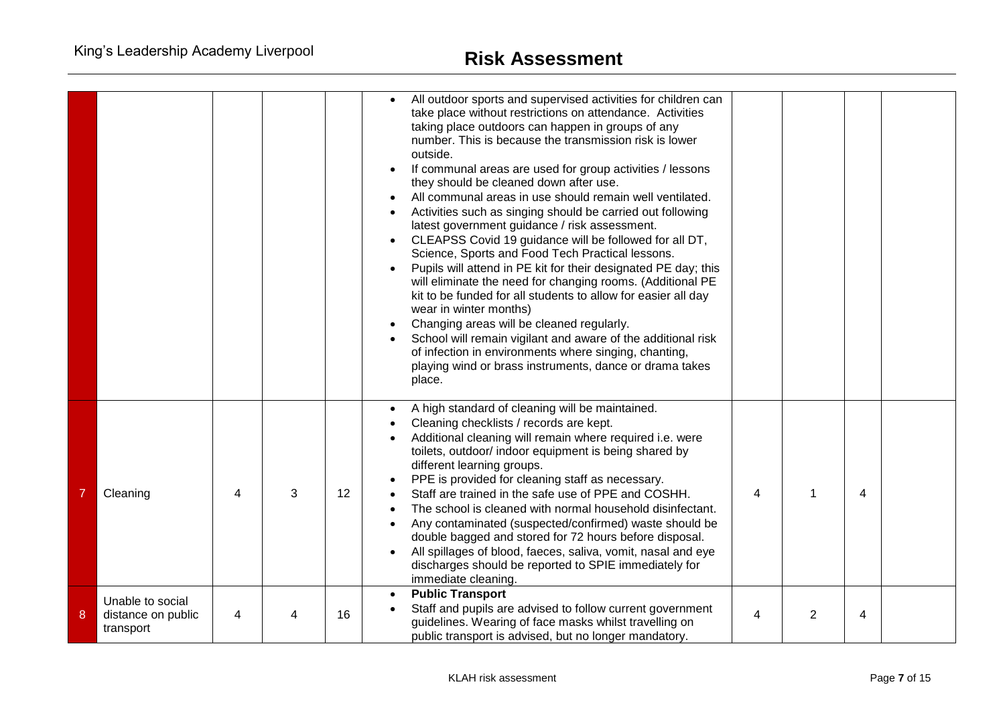|   |                                                     |   |   |    | All outdoor sports and supervised activities for children can<br>take place without restrictions on attendance. Activities<br>taking place outdoors can happen in groups of any<br>number. This is because the transmission risk is lower<br>outside.<br>If communal areas are used for group activities / lessons<br>they should be cleaned down after use.<br>All communal areas in use should remain well ventilated.<br>Activities such as singing should be carried out following<br>latest government guidance / risk assessment.<br>CLEAPSS Covid 19 guidance will be followed for all DT,<br>Science, Sports and Food Tech Practical lessons.<br>Pupils will attend in PE kit for their designated PE day; this<br>will eliminate the need for changing rooms. (Additional PE<br>kit to be funded for all students to allow for easier all day<br>wear in winter months)<br>Changing areas will be cleaned regularly.<br>School will remain vigilant and aware of the additional risk<br>of infection in environments where singing, chanting,<br>playing wind or brass instruments, dance or drama takes<br>place. |   |   |   |  |
|---|-----------------------------------------------------|---|---|----|-----------------------------------------------------------------------------------------------------------------------------------------------------------------------------------------------------------------------------------------------------------------------------------------------------------------------------------------------------------------------------------------------------------------------------------------------------------------------------------------------------------------------------------------------------------------------------------------------------------------------------------------------------------------------------------------------------------------------------------------------------------------------------------------------------------------------------------------------------------------------------------------------------------------------------------------------------------------------------------------------------------------------------------------------------------------------------------------------------------------------------|---|---|---|--|
|   | Cleaning                                            | 4 | 3 | 12 | A high standard of cleaning will be maintained.<br>Cleaning checklists / records are kept.<br>Additional cleaning will remain where required i.e. were<br>toilets, outdoor/ indoor equipment is being shared by<br>different learning groups.<br>PPE is provided for cleaning staff as necessary.<br>Staff are trained in the safe use of PPE and COSHH.<br>The school is cleaned with normal household disinfectant.<br>Any contaminated (suspected/confirmed) waste should be<br>double bagged and stored for 72 hours before disposal.<br>All spillages of blood, faeces, saliva, vomit, nasal and eye<br>discharges should be reported to SPIE immediately for<br>immediate cleaning.                                                                                                                                                                                                                                                                                                                                                                                                                                   | 4 |   | 4 |  |
| 8 | Unable to social<br>distance on public<br>transport | 4 |   | 16 | <b>Public Transport</b><br>Staff and pupils are advised to follow current government<br>guidelines. Wearing of face masks whilst travelling on<br>public transport is advised, but no longer mandatory.                                                                                                                                                                                                                                                                                                                                                                                                                                                                                                                                                                                                                                                                                                                                                                                                                                                                                                                     | 4 | 2 | 4 |  |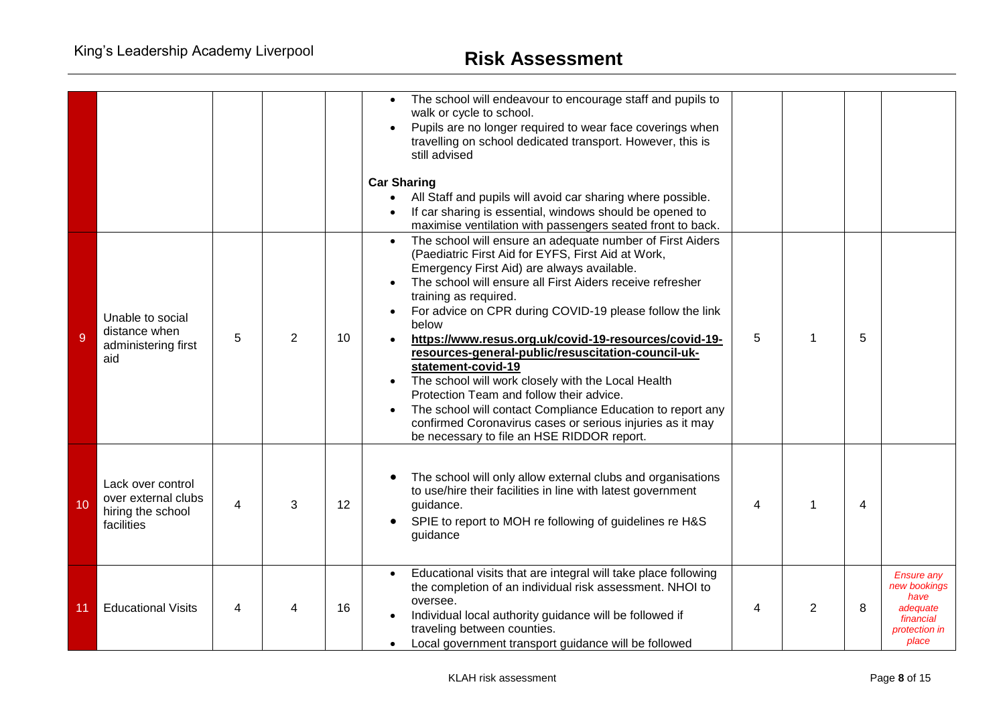|    |                                                                             |   |   |    | The school will endeavour to encourage staff and pupils to<br>walk or cycle to school.<br>Pupils are no longer required to wear face coverings when<br>travelling on school dedicated transport. However, this is<br>still advised<br><b>Car Sharing</b><br>All Staff and pupils will avoid car sharing where possible.<br>If car sharing is essential, windows should be opened to<br>maximise ventilation with passengers seated front to back.                                                                                                                                                                                                                                                                                        |   |   |   |                                                                                              |
|----|-----------------------------------------------------------------------------|---|---|----|------------------------------------------------------------------------------------------------------------------------------------------------------------------------------------------------------------------------------------------------------------------------------------------------------------------------------------------------------------------------------------------------------------------------------------------------------------------------------------------------------------------------------------------------------------------------------------------------------------------------------------------------------------------------------------------------------------------------------------------|---|---|---|----------------------------------------------------------------------------------------------|
| 9  | Unable to social<br>distance when<br>administering first<br>aid             | 5 | 2 | 10 | The school will ensure an adequate number of First Aiders<br>(Paediatric First Aid for EYFS, First Aid at Work,<br>Emergency First Aid) are always available.<br>The school will ensure all First Aiders receive refresher<br>training as required.<br>For advice on CPR during COVID-19 please follow the link<br>below<br>https://www.resus.org.uk/covid-19-resources/covid-19-<br>resources-general-public/resuscitation-council-uk-<br>statement-covid-19<br>The school will work closely with the Local Health<br>Protection Team and follow their advice.<br>The school will contact Compliance Education to report any<br>confirmed Coronavirus cases or serious injuries as it may<br>be necessary to file an HSE RIDDOR report. | 5 |   | 5 |                                                                                              |
| 10 | Lack over control<br>over external clubs<br>hiring the school<br>facilities | 4 | 3 | 12 | The school will only allow external clubs and organisations<br>to use/hire their facilities in line with latest government<br>guidance.<br>SPIE to report to MOH re following of guidelines re H&S<br>guidance                                                                                                                                                                                                                                                                                                                                                                                                                                                                                                                           | 4 | 1 | 4 |                                                                                              |
| 11 | <b>Educational Visits</b>                                                   | 4 |   | 16 | Educational visits that are integral will take place following<br>the completion of an individual risk assessment. NHOI to<br>oversee.<br>Individual local authority guidance will be followed if<br>traveling between counties.<br>Local government transport guidance will be followed                                                                                                                                                                                                                                                                                                                                                                                                                                                 | 4 | 2 | 8 | <b>Ensure any</b><br>new bookings<br>have<br>adequate<br>financial<br>protection in<br>place |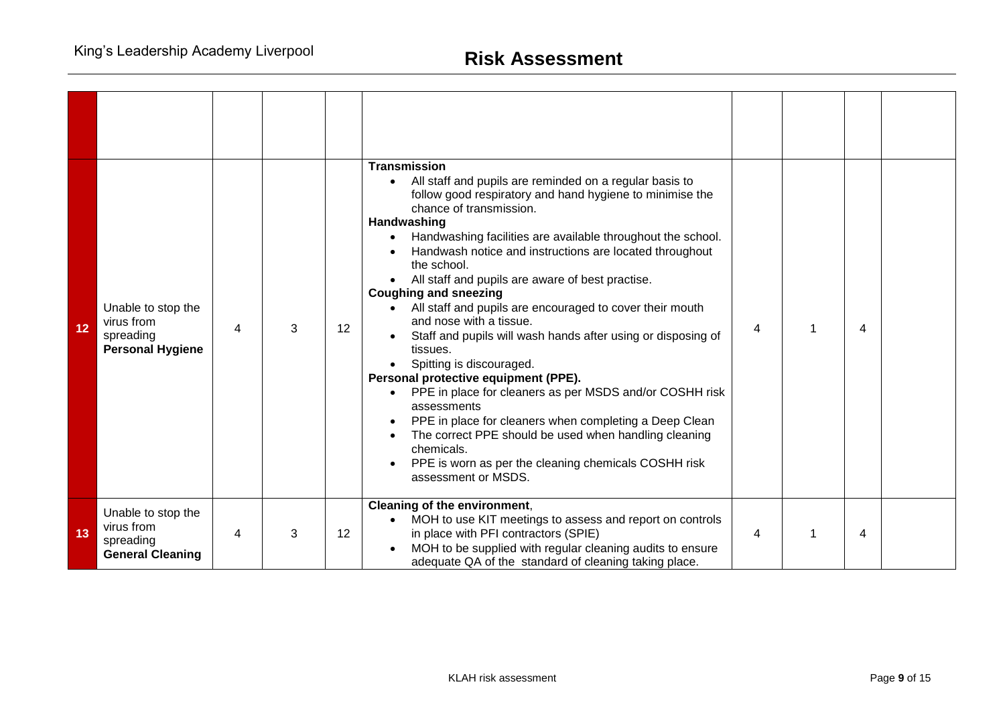| 12 | Unable to stop the<br>virus from<br>spreading<br><b>Personal Hygiene</b> | 4 | 3 | 12 | <b>Transmission</b><br>All staff and pupils are reminded on a regular basis to<br>follow good respiratory and hand hygiene to minimise the<br>chance of transmission.<br>Handwashing<br>Handwashing facilities are available throughout the school.<br>Handwash notice and instructions are located throughout<br>the school.<br>All staff and pupils are aware of best practise.<br><b>Coughing and sneezing</b><br>All staff and pupils are encouraged to cover their mouth<br>and nose with a tissue.<br>Staff and pupils will wash hands after using or disposing of<br>tissues.<br>Spitting is discouraged.<br>Personal protective equipment (PPE).<br>PPE in place for cleaners as per MSDS and/or COSHH risk<br>assessments<br>PPE in place for cleaners when completing a Deep Clean<br>The correct PPE should be used when handling cleaning<br>chemicals.<br>PPE is worn as per the cleaning chemicals COSHH risk | 4 | 4 |  |
|----|--------------------------------------------------------------------------|---|---|----|-----------------------------------------------------------------------------------------------------------------------------------------------------------------------------------------------------------------------------------------------------------------------------------------------------------------------------------------------------------------------------------------------------------------------------------------------------------------------------------------------------------------------------------------------------------------------------------------------------------------------------------------------------------------------------------------------------------------------------------------------------------------------------------------------------------------------------------------------------------------------------------------------------------------------------|---|---|--|
| 13 | Unable to stop the<br>virus from                                         | 4 | 3 | 12 | Cleaning of the environment,<br>MOH to use KIT meetings to assess and report on controls<br>in place with PFI contractors (SPIE)                                                                                                                                                                                                                                                                                                                                                                                                                                                                                                                                                                                                                                                                                                                                                                                            | 4 | 4 |  |
|    | spreading<br><b>General Cleaning</b>                                     |   |   |    | assessment or MSDS.<br>MOH to be supplied with regular cleaning audits to ensure<br>adequate QA of the standard of cleaning taking place.                                                                                                                                                                                                                                                                                                                                                                                                                                                                                                                                                                                                                                                                                                                                                                                   |   |   |  |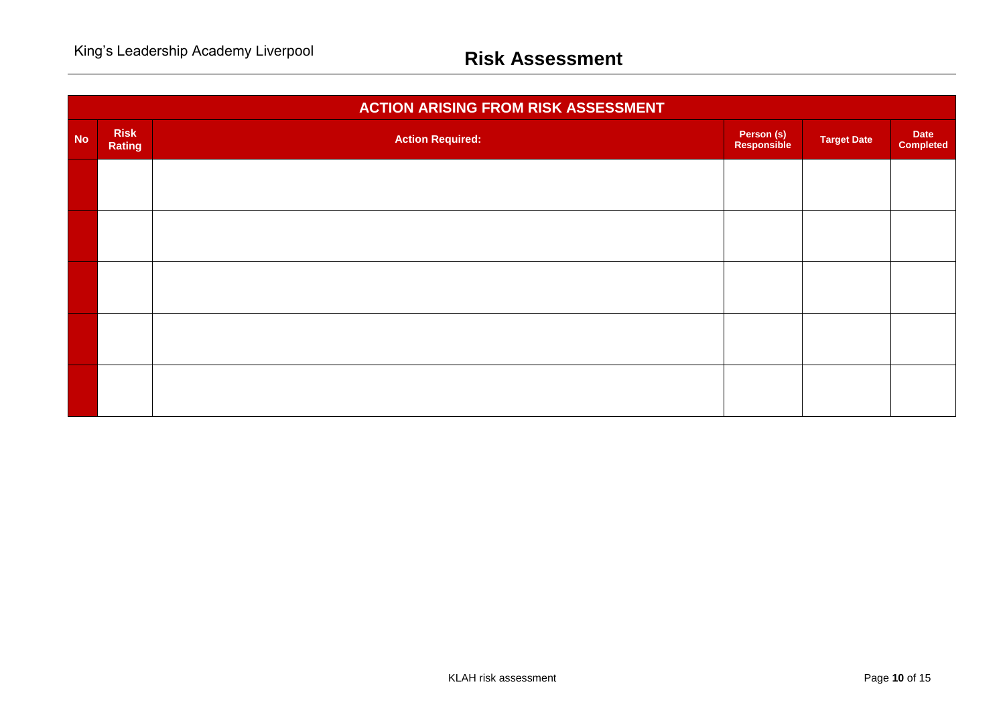|           | <b>ACTION ARISING FROM RISK ASSESSMENT</b> |                         |                           |                    |                                 |  |  |  |  |  |
|-----------|--------------------------------------------|-------------------------|---------------------------|--------------------|---------------------------------|--|--|--|--|--|
| <b>No</b> | <b>Risk</b><br>Rating                      | <b>Action Required:</b> | Person (s)<br>Responsible | <b>Target Date</b> | <b>Date</b><br><b>Completed</b> |  |  |  |  |  |
|           |                                            |                         |                           |                    |                                 |  |  |  |  |  |
|           |                                            |                         |                           |                    |                                 |  |  |  |  |  |
|           |                                            |                         |                           |                    |                                 |  |  |  |  |  |
|           |                                            |                         |                           |                    |                                 |  |  |  |  |  |
|           |                                            |                         |                           |                    |                                 |  |  |  |  |  |
|           |                                            |                         |                           |                    |                                 |  |  |  |  |  |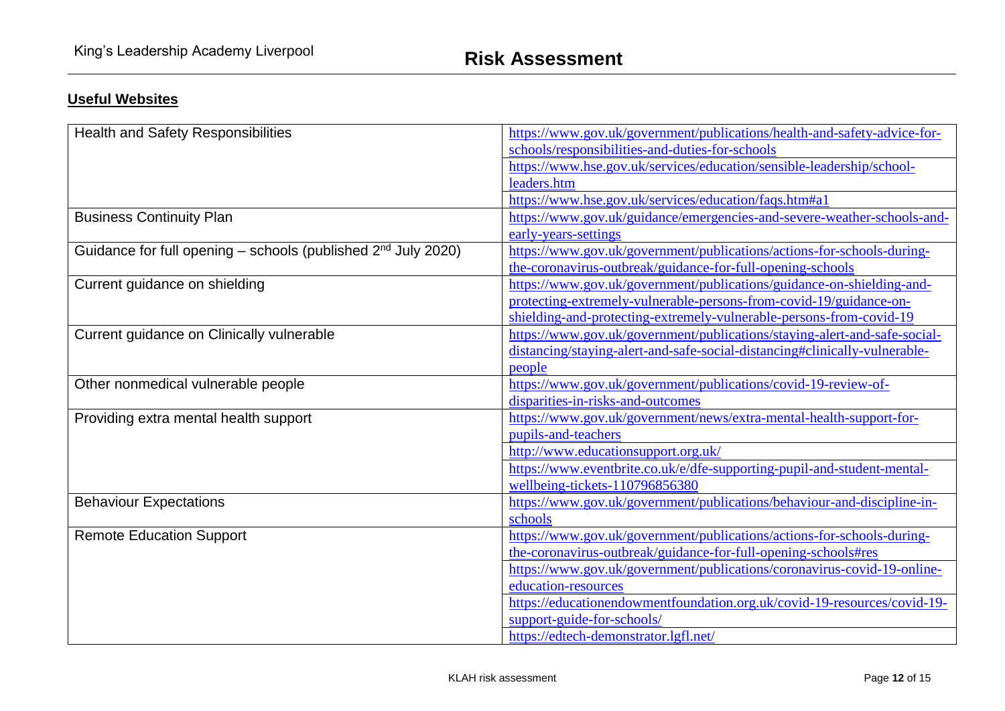## **Useful Websites**

| <b>Health and Safety Responsibilities</b>                          | https://www.gov.uk/government/publications/health-and-safety-advice-for-   |
|--------------------------------------------------------------------|----------------------------------------------------------------------------|
|                                                                    | schools/responsibilities-and-duties-for-schools                            |
|                                                                    | https://www.hse.gov.uk/services/education/sensible-leadership/school-      |
|                                                                    | leaders.htm                                                                |
|                                                                    | https://www.hse.gov.uk/services/education/faqs.htm#a1                      |
| <b>Business Continuity Plan</b>                                    | https://www.gov.uk/guidance/emergencies-and-severe-weather-schools-and-    |
|                                                                    | early-years-settings                                                       |
| Guidance for full opening – schools (published $2^{nd}$ July 2020) | https://www.gov.uk/government/publications/actions-for-schools-during-     |
|                                                                    | the-coronavirus-outbreak/guidance-for-full-opening-schools                 |
| Current guidance on shielding                                      | https://www.gov.uk/government/publications/guidance-on-shielding-and-      |
|                                                                    | protecting-extremely-vulnerable-persons-from-covid-19/guidance-on-         |
|                                                                    | shielding-and-protecting-extremely-vulnerable-persons-from-covid-19        |
| Current guidance on Clinically vulnerable                          | https://www.gov.uk/government/publications/staying-alert-and-safe-social-  |
|                                                                    | distancing/staying-alert-and-safe-social-distancing#clinically-vulnerable- |
|                                                                    | people                                                                     |
| Other nonmedical vulnerable people                                 | https://www.gov.uk/government/publications/covid-19-review-of-             |
|                                                                    | disparities-in-risks-and-outcomes                                          |
| Providing extra mental health support                              | https://www.gov.uk/government/news/extra-mental-health-support-for-        |
|                                                                    | pupils-and-teachers                                                        |
|                                                                    | http://www.educationsupport.org.uk/                                        |
|                                                                    | https://www.eventbrite.co.uk/e/dfe-supporting-pupil-and-student-mental-    |
|                                                                    | wellbeing-tickets-110796856380                                             |
| <b>Behaviour Expectations</b>                                      | https://www.gov.uk/government/publications/behaviour-and-discipline-in-    |
|                                                                    | schools                                                                    |
| <b>Remote Education Support</b>                                    | https://www.gov.uk/government/publications/actions-for-schools-during-     |
|                                                                    | the-coronavirus-outbreak/guidance-for-full-opening-schools#res             |
|                                                                    | https://www.gov.uk/government/publications/coronavirus-covid-19-online-    |
|                                                                    | education-resources                                                        |
|                                                                    | https://educationendowmentfoundation.org.uk/covid-19-resources/covid-19-   |
|                                                                    | support-guide-for-schools/                                                 |
|                                                                    | https://edtech-demonstrator.lgfl.net/                                      |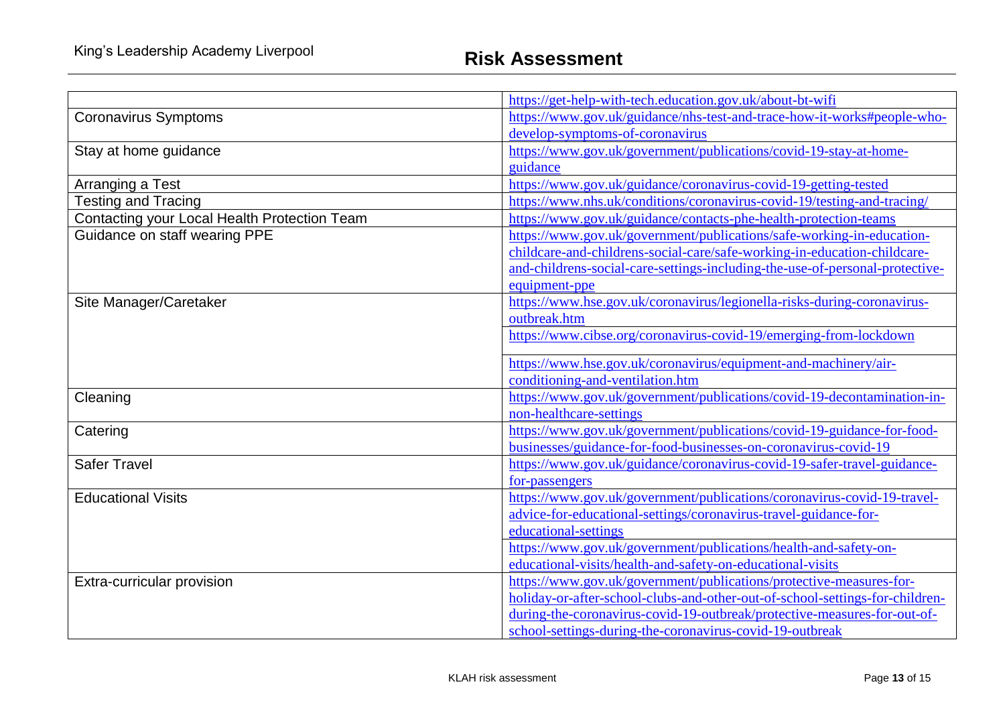|                                              | https://get-help-with-tech.education.gov.uk/about-bt-wifi                    |  |  |
|----------------------------------------------|------------------------------------------------------------------------------|--|--|
| <b>Coronavirus Symptoms</b>                  | https://www.gov.uk/guidance/nhs-test-and-trace-how-it-works#people-who-      |  |  |
|                                              | develop-symptoms-of-coronavirus                                              |  |  |
| Stay at home guidance                        | https://www.gov.uk/government/publications/covid-19-stay-at-home-            |  |  |
|                                              | guidance                                                                     |  |  |
| Arranging a Test                             | https://www.gov.uk/guidance/coronavirus-covid-19-getting-tested              |  |  |
| <b>Testing and Tracing</b>                   | https://www.nhs.uk/conditions/coronavirus-covid-19/testing-and-tracing/      |  |  |
| Contacting your Local Health Protection Team | https://www.gov.uk/guidance/contacts-phe-health-protection-teams             |  |  |
| Guidance on staff wearing PPE                | https://www.gov.uk/government/publications/safe-working-in-education-        |  |  |
|                                              | childcare-and-childrens-social-care/safe-working-in-education-childcare-     |  |  |
|                                              | and-childrens-social-care-settings-including-the-use-of-personal-protective- |  |  |
|                                              | equipment-ppe                                                                |  |  |
| Site Manager/Caretaker                       | https://www.hse.gov.uk/coronavirus/legionella-risks-during-coronavirus-      |  |  |
|                                              | outbreak.htm                                                                 |  |  |
|                                              | https://www.cibse.org/coronavirus-covid-19/emerging-from-lockdown            |  |  |
|                                              | https://www.hse.gov.uk/coronavirus/equipment-and-machinery/air-              |  |  |
|                                              | conditioning-and-ventilation.htm                                             |  |  |
| Cleaning                                     | https://www.gov.uk/government/publications/covid-19-decontamination-in-      |  |  |
|                                              | non-healthcare-settings                                                      |  |  |
| Catering                                     | https://www.gov.uk/government/publications/covid-19-guidance-for-food-       |  |  |
|                                              | businesses/guidance-for-food-businesses-on-coronavirus-covid-19              |  |  |
| <b>Safer Travel</b>                          | https://www.gov.uk/guidance/coronavirus-covid-19-safer-travel-guidance-      |  |  |
|                                              | for-passengers                                                               |  |  |
| <b>Educational Visits</b>                    | https://www.gov.uk/government/publications/coronavirus-covid-19-travel-      |  |  |
|                                              | advice-for-educational-settings/coronavirus-travel-guidance-for-             |  |  |
|                                              | educational-settings                                                         |  |  |
|                                              | https://www.gov.uk/government/publications/health-and-safety-on-             |  |  |
|                                              | educational-visits/health-and-safety-on-educational-visits                   |  |  |
| Extra-curricular provision                   | https://www.gov.uk/government/publications/protective-measures-for-          |  |  |
|                                              | holiday-or-after-school-clubs-and-other-out-of-school-settings-for-children- |  |  |
|                                              | during-the-coronavirus-covid-19-outbreak/protective-measures-for-out-of-     |  |  |
|                                              | school-settings-during-the-coronavirus-covid-19-outbreak                     |  |  |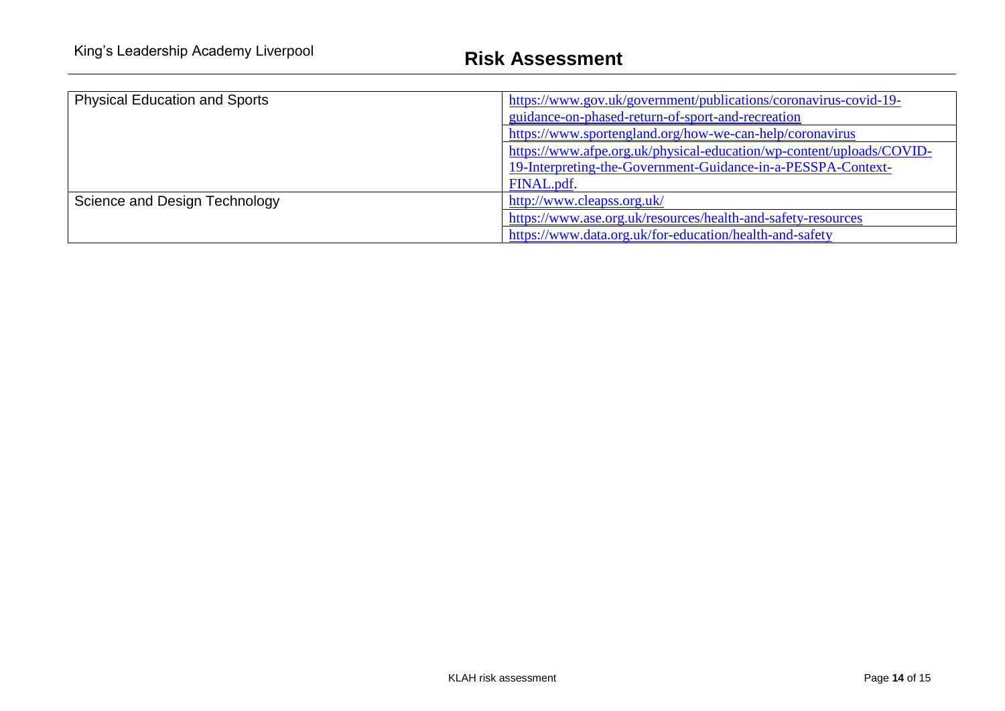| <b>Physical Education and Sports</b> | https://www.gov.uk/government/publications/coronavirus-covid-19-<br>guidance-on-phased-return-of-sport-and-recreation<br>https://www.sportengland.org/how-we-can-help/coronavirus |
|--------------------------------------|-----------------------------------------------------------------------------------------------------------------------------------------------------------------------------------|
|                                      | https://www.afpe.org.uk/physical-education/wp-content/uploads/COVID-<br>19-Interpreting-the-Government-Guidance-in-a-PESSPA-Context-<br>FINAL.pdf.                                |
| Science and Design Technology        | http://www.cleapss.org.uk/<br>https://www.ase.org.uk/resources/health-and-safety-resources<br>https://www.data.org.uk/for-education/health-and-safety                             |